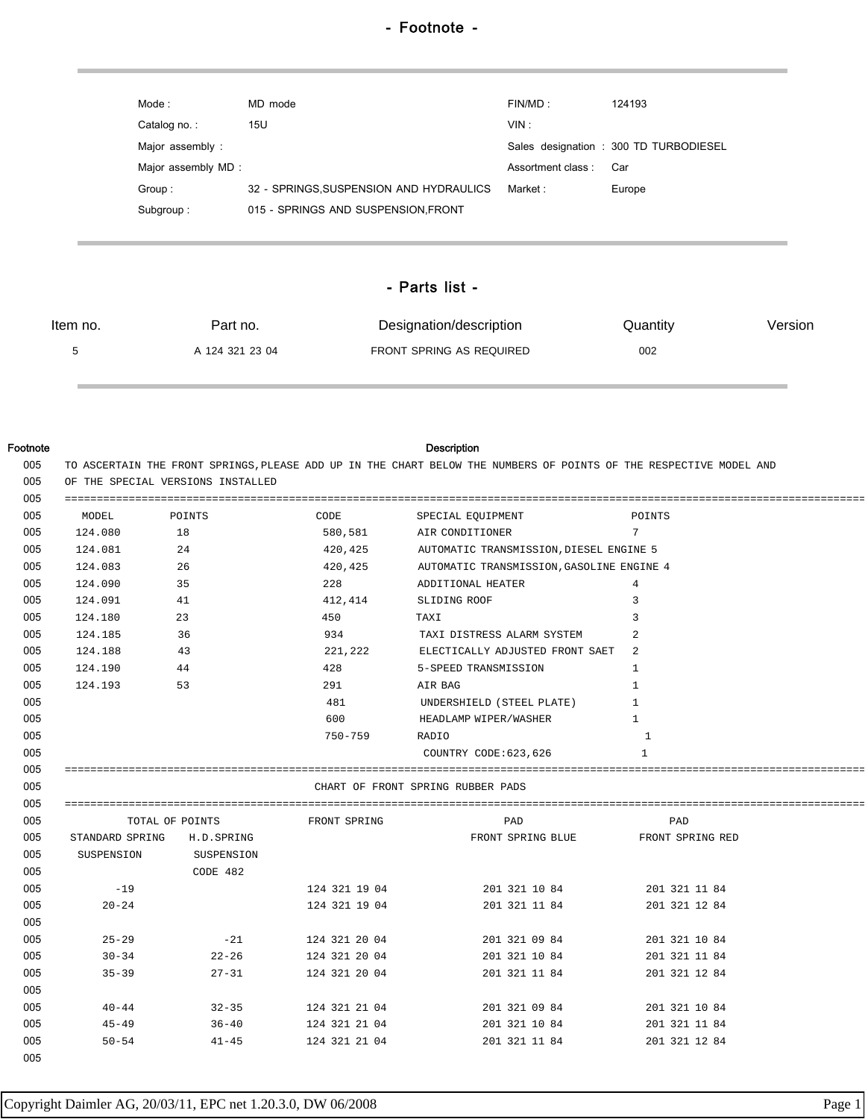| Mode :              | MD mode                                 | FINMD:            | 124193                                 |
|---------------------|-----------------------------------------|-------------------|----------------------------------------|
| Catalog no.:        | 15U                                     | VIN:              |                                        |
| Major assembly:     |                                         |                   | Sales designation : 300 TD TURBODIESEL |
| Major assembly MD : |                                         | Assortment class: | Car                                    |
| Group:              | 32 - SPRINGS, SUSPENSION AND HYDRAULICS | Market :          | Europe                                 |
| Subgroup:           | 015 - SPRINGS AND SUSPENSION, FRONT     |                   |                                        |

## - Parts list -

| ltem no. | Part no.        | Designation/description  | Quantity | Version |
|----------|-----------------|--------------------------|----------|---------|
|          | A 124 321 23 04 | FRONT SPRING AS REQUIRED | 002      |         |

## Footnote Description

| MODEL<br>124.080        |                             |                     |                                                    |                 |
|-------------------------|-----------------------------|---------------------|----------------------------------------------------|-----------------|
|                         | POINTS                      | CODE                | SPECIAL EOUIPMENT                                  | POINTS          |
| 005                     | 18                          | 580,581             | AIR CONDITIONER                                    | $7\overline{ }$ |
| 005<br>124.081          | 24                          | 420,425             | AUTOMATIC TRANSMISSION, DIESEL ENGINE 5            |                 |
| 005<br>124.083          | 26                          |                     | 420, 425 AUTOMATIC TRANSMISSION, GASOLINE ENGINE 4 |                 |
| 005<br>124.090          | 35                          | 228                 | ADDITIONAL HEATER                                  | 4               |
| 005<br>124.091          | 41                          |                     | 412,414 SLIDING ROOF                               | 3               |
| 005<br>124.180          | 23                          | 450                 | TAXI                                               | $\mathcal{L}$   |
| 005<br>124.185          | 36                          |                     | 934 TAXI DISTRESS ALARM SYSTEM                     | $\overline{2}$  |
| 005<br>124.188          | 43                          |                     | 221, 222 ELECTICALLY ADJUSTED FRONT SAET 2         |                 |
| 005<br>124.190          | 44                          | 428                 | 5-SPEED TRANSMISSION                               | 1               |
| 005<br>124.193          | 53                          | 291                 | AIR BAG                                            | $\mathbf{1}$    |
| 005                     |                             | 481                 | UNDERSHIELD (STEEL PLATE)                          | 1               |
| 005                     |                             | 600                 | HEADLAMP WIPER/WASHER                              | 1               |
| 005                     |                             | 750-759             | RADIO                                              | -1              |
| 005                     |                             |                     | COUNTRY CODE:623,626                               | 1               |
| 005                     |                             |                     |                                                    |                 |
| 005                     |                             |                     | CHART OF FRONT SPRING RUBBER PADS                  |                 |
| 005                     |                             |                     |                                                    |                 |
| 005                     | TOTAL OF POINTS             | FRONT SPRING        | PAD                                                | PAD             |
| 005                     | STANDARD SPRING H.D. SPRING |                     | FRONT SPRING BLUE FRONT SPRING RED                 |                 |
| 005<br>SUSPENSION       | SUSPENSION                  |                     |                                                    |                 |
| 005                     | CODE 482                    |                     |                                                    |                 |
| 005<br>$-19$            |                             | 124 321 19 04       | 201 321 10 84                                      | 201 321 11 84   |
|                         |                             | 124 321 19 04       | 201 321 11 84                                      | 201 321 12 84   |
| 005<br>$20 - 24$        |                             |                     |                                                    |                 |
| 005                     |                             |                     | 201 321 09 84                                      | 201 321 10 84   |
| 005<br>$25 - 29$        | $-21$ 124 321 20 04         |                     |                                                    |                 |
| 005<br>$30 - 34$        |                             | 22-26 124 321 20 04 | 201 321 10 84                                      | 201 321 11 84   |
| 005<br>$35 - 39$        | $27 - 31$                   | 124 321 20 04       | 201 321 11 84                                      | 201 321 12 84   |
|                         |                             |                     |                                                    |                 |
| 005<br>005<br>$40 - 44$ | $32 - 35$                   | 124 321 21 04       | 201 321 09 84                                      | 201 321 10 84   |
| 005<br>45-49<br>005     | $36 - 40$                   | 124 321 21 04       | 201 321 10 84                                      | 201 321 11 84   |